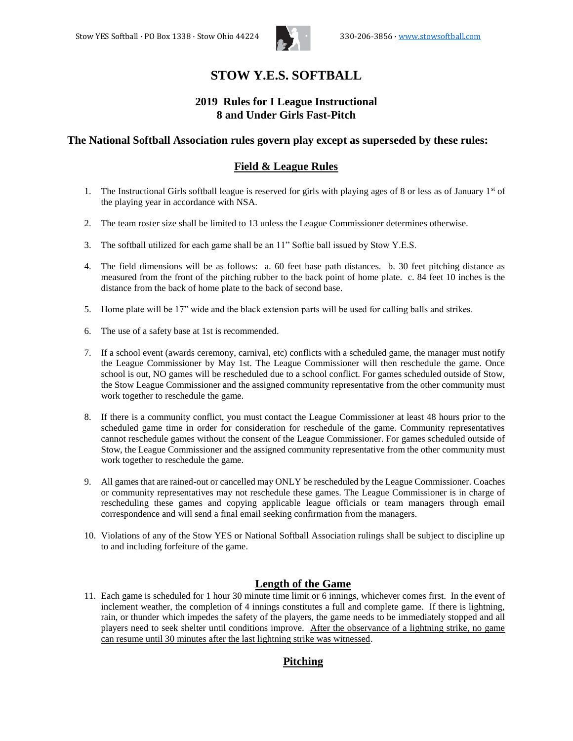

# **STOW Y.E.S. SOFTBALL**

# **2019 Rules for I League Instructional 8 and Under Girls Fast-Pitch**

### **The National Softball Association rules govern play except as superseded by these rules:**

# **Field & League Rules**

- 1. The Instructional Girls softball league is reserved for girls with playing ages of 8 or less as of January  $1<sup>st</sup>$  of the playing year in accordance with NSA.
- 2. The team roster size shall be limited to 13 unless the League Commissioner determines otherwise.
- 3. The softball utilized for each game shall be an 11" Softie ball issued by Stow Y.E.S.
- 4. The field dimensions will be as follows: a. 60 feet base path distances. b. 30 feet pitching distance as measured from the front of the pitching rubber to the back point of home plate. c. 84 feet 10 inches is the distance from the back of home plate to the back of second base.
- 5. Home plate will be 17" wide and the black extension parts will be used for calling balls and strikes.
- 6. The use of a safety base at 1st is recommended.
- 7. If a school event (awards ceremony, carnival, etc) conflicts with a scheduled game, the manager must notify the League Commissioner by May 1st. The League Commissioner will then reschedule the game. Once school is out, NO games will be rescheduled due to a school conflict. For games scheduled outside of Stow, the Stow League Commissioner and the assigned community representative from the other community must work together to reschedule the game.
- 8. If there is a community conflict, you must contact the League Commissioner at least 48 hours prior to the scheduled game time in order for consideration for reschedule of the game. Community representatives cannot reschedule games without the consent of the League Commissioner. For games scheduled outside of Stow, the League Commissioner and the assigned community representative from the other community must work together to reschedule the game.
- 9. All games that are rained-out or cancelled may ONLY be rescheduled by the League Commissioner. Coaches or community representatives may not reschedule these games. The League Commissioner is in charge of rescheduling these games and copying applicable league officials or team managers through email correspondence and will send a final email seeking confirmation from the managers.
- 10. Violations of any of the Stow YES or National Softball Association rulings shall be subject to discipline up to and including forfeiture of the game.

# **Length of the Game**

11. Each game is scheduled for 1 hour 30 minute time limit or 6 innings, whichever comes first. In the event of inclement weather, the completion of 4 innings constitutes a full and complete game. If there is lightning, rain, or thunder which impedes the safety of the players, the game needs to be immediately stopped and all players need to seek shelter until conditions improve. After the observance of a lightning strike, no game can resume until 30 minutes after the last lightning strike was witnessed.

# **Pitching**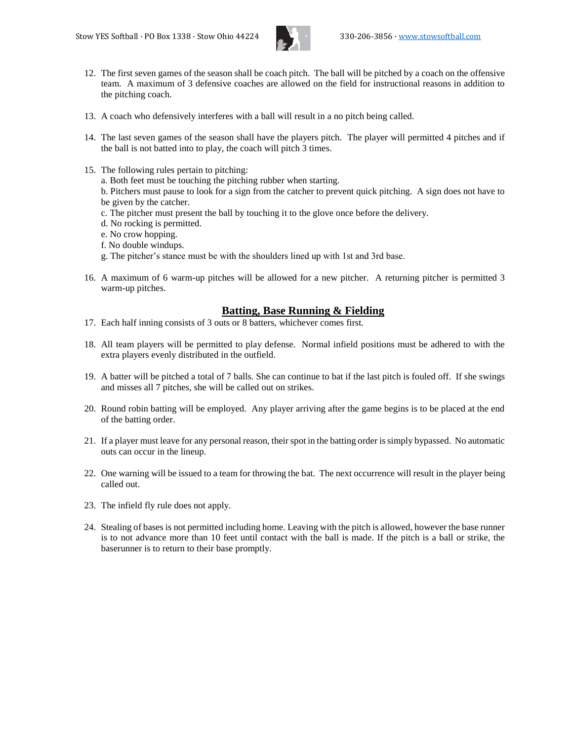

- 12. The first seven games of the season shall be coach pitch. The ball will be pitched by a coach on the offensive team. A maximum of 3 defensive coaches are allowed on the field for instructional reasons in addition to the pitching coach.
- 13. A coach who defensively interferes with a ball will result in a no pitch being called.
- 14. The last seven games of the season shall have the players pitch. The player will permitted 4 pitches and if the ball is not batted into to play, the coach will pitch 3 times.
- 15. The following rules pertain to pitching:

a. Both feet must be touching the pitching rubber when starting.

b. Pitchers must pause to look for a sign from the catcher to prevent quick pitching. A sign does not have to be given by the catcher.

- c. The pitcher must present the ball by touching it to the glove once before the delivery.
- d. No rocking is permitted.
- e. No crow hopping.
- f. No double windups.
- g. The pitcher's stance must be with the shoulders lined up with 1st and 3rd base.
- 16. A maximum of 6 warm-up pitches will be allowed for a new pitcher. A returning pitcher is permitted 3 warm-up pitches.

#### **Batting, Base Running & Fielding**

- 17. Each half inning consists of 3 outs or 8 batters, whichever comes first.
- 18. All team players will be permitted to play defense. Normal infield positions must be adhered to with the extra players evenly distributed in the outfield.
- 19. A batter will be pitched a total of 7 balls. She can continue to bat if the last pitch is fouled off. If she swings and misses all 7 pitches, she will be called out on strikes.
- 20. Round robin batting will be employed. Any player arriving after the game begins is to be placed at the end of the batting order.
- 21. If a player must leave for any personal reason, their spot in the batting order is simply bypassed. No automatic outs can occur in the lineup.
- 22. One warning will be issued to a team for throwing the bat. The next occurrence will result in the player being called out.
- 23. The infield fly rule does not apply.
- 24. Stealing of bases is not permitted including home. Leaving with the pitch is allowed, however the base runner is to not advance more than 10 feet until contact with the ball is made. If the pitch is a ball or strike, the baserunner is to return to their base promptly.